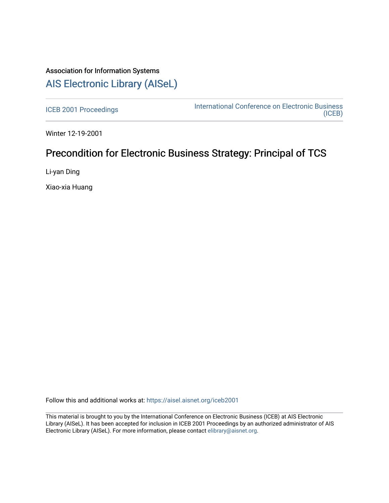# Association for Information Systems [AIS Electronic Library \(AISeL\)](https://aisel.aisnet.org/)

[ICEB 2001 Proceedings](https://aisel.aisnet.org/iceb2001) **International Conference on Electronic Business** [\(ICEB\)](https://aisel.aisnet.org/iceb) 

Winter 12-19-2001

# Precondition for Electronic Business Strategy: Principal of TCS

Li-yan Ding

Xiao-xia Huang

Follow this and additional works at: [https://aisel.aisnet.org/iceb2001](https://aisel.aisnet.org/iceb2001?utm_source=aisel.aisnet.org%2Ficeb2001%2F109&utm_medium=PDF&utm_campaign=PDFCoverPages)

This material is brought to you by the International Conference on Electronic Business (ICEB) at AIS Electronic Library (AISeL). It has been accepted for inclusion in ICEB 2001 Proceedings by an authorized administrator of AIS Electronic Library (AISeL). For more information, please contact [elibrary@aisnet.org.](mailto:elibrary@aisnet.org%3E)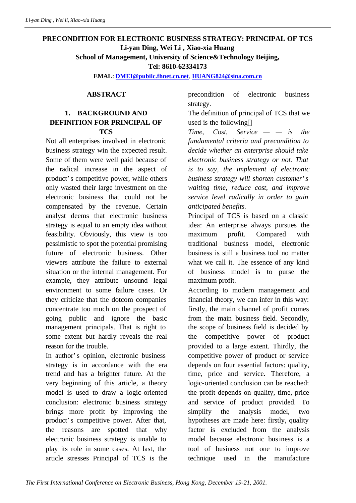# **PRECONDITION FOR ELECTRONIC BUSINESS STRATEGY: PRINCIPAL OF TCS Li-yan Ding, Wei Li , Xiao-xia Huang School of Management, University of Science&Technology Beijing,**

**Tel: 8610-62334173**

**EMAL**: **DMEI@pubilc.fhnet.cn.net**, **HUANG824@sina.com.cn**

#### **ABSTRACT**

#### **1. BACKGROUND AND DEFINITION FOR PRINCIPAL OF TCS**

Not all enterprises involved in electronic business strategy win the expected result. Some of them were well paid because of the radical increase in the aspect of product's competitive power, while others only wasted their large investment on the electronic business that could not be compensated by the revenue. Certain analyst deems that electronic business strategy is equal to an empty idea without feasibility. Obviously, this view is too pessimistic to spot the potential promising future of electronic business. Other viewers attribute the failure to external situation or the internal management. For example, they attribute unsound legal environment to some failure cases. Or they criticize that the dotcom companies concentrate too much on the prospect of going public and ignore the basic management principals. That is right to some extent but hardly reveals the real reason for the trouble.

In author's opinion, electronic business strategy is in accordance with the era trend and has a brighter future. At the very beginning of this article, a theory model is used to draw a logic-oriented conclusion: electronic business strategy brings more profit by improving the product's competitive power. After that, the reasons are spotted that why electronic business strategy is unable to play its role in some cases. At last, the article stresses Principal of TCS is the

precondition of electronic business strategy.

The definition of principal of TCS that we used is the following

*Time, Cost, Service* — — *is the fundamental criteria and precondition to decide whether an enterprise should take electronic business strategy or not. That is to say, the implement of electronic business strategy will shorten customer's waiting time, reduce cost, and improve service level radically in order to gain anticipated benefits.*

Principal of TCS is based on a classic idea: An enterprise always pursues the maximum profit. Compared with traditional business model, electronic business is still a business tool no matter what we call it. The essence of any kind of business model is to purse the maximum profit.

According to modern management and financial theory, we can infer in this way: firstly, the main channel of profit comes from the main business field. Secondly, the scope of business field is decided by the competitive power of product provided to a large extent. Thirdly, the competitive power of product or service depends on four essential factors: quality, time, price and service. Therefore, a logic-oriented conclusion can be reached: the profit depends on quality, time, price and service of product provided. To simplify the analysis model, two hypotheses are made here: firstly, quality factor is excluded from the analysis model because electronic business is a tool of business not one to improve technique used in the manufacture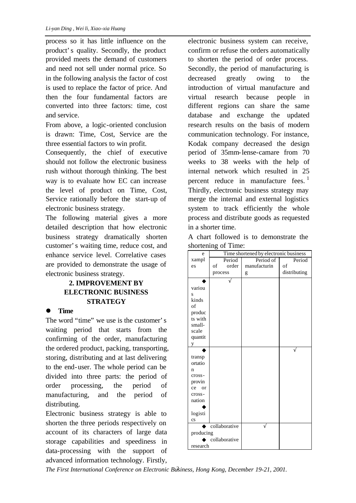process so it has little influence on the product's quality. Secondly, the product provided meets the demand of customers and need not sell under normal price. So in the following analysis the factor of cost is used to replace the factor of price. And then the four fundamental factors are converted into three factors: time, cost and service.

From above, a logic-oriented conclusion is drawn: Time, Cost, Service are the three essential factors to win profit.

Consequently, the chief of executive should not follow the electronic business rush without thorough thinking. The best way is to evaluate how EC can increase the level of product on Time, Cost, Service rationally before the start-up of electronic business strategy.

The following material gives a more detailed description that how electronic business strategy dramatically shorten customer's waiting time, reduce cost, and enhance service level. Correlative cases are provided to demonstrate the usage of electronic business strategy.

# **2. IMPROVEMENT BY ELECTRONIC BUSINESS STRATEGY**

#### $\bullet$  Time

The word "time" we use is the customer's waiting period that starts from the confirming of the order, manufacturing the ordered product, packing, transporting, storing, distributing and at last delivering to the end-user. The whole period can be divided into three parts: the period of order processing, the period of manufacturing, and the period of distributing.

Electronic business strategy is able to shorten the three periods respectively on account of its characters of large data storage capabilities and speediness in data-processing with the support of advanced information technology. Firstly, electronic business system can receive, confirm or refuse the orders automatically to shorten the period of order process. Secondly, the period of manufacturing is decreased greatly owing to the introduction of virtual manufacture and virtual research because people in different regions can share the same database and exchange the updated research results on the basis of modern communication technology. For instance, Kodak company decreased the design period of 35mm-lense-camare from 70 weeks to 38 weeks with the help of internal network which resulted in 25 percent reduce in manufacture fees.  $1$ Thirdly, electronic business strategy may merge the internal and external logistics system to track efficiently the whole process and distribute goods as requested in a shorter time.

A chart followed is to demonstrate the shortening of Time:

| e                                                                                                                          | Time shortened by electronic business |              |              |
|----------------------------------------------------------------------------------------------------------------------------|---------------------------------------|--------------|--------------|
| xampl                                                                                                                      | Period                                | Period of    | Period       |
| es                                                                                                                         | order<br>of                           | manufacturin | of           |
|                                                                                                                            | process                               | g            | distributing |
| variou<br>S<br>kinds<br>of<br>produc<br>ts with<br>small-<br>scale<br>quantit                                              |                                       |              |              |
| y                                                                                                                          |                                       |              |              |
| transp<br>ortatio<br>n<br>cross-<br>provin<br><sub>or</sub><br>ce<br>cross-<br>nation<br>logisti<br>$\mathbf{c}\mathbf{s}$ |                                       |              |              |
| collaborative<br>producing<br>collaborative                                                                                |                                       |              |              |
| research                                                                                                                   |                                       |              |              |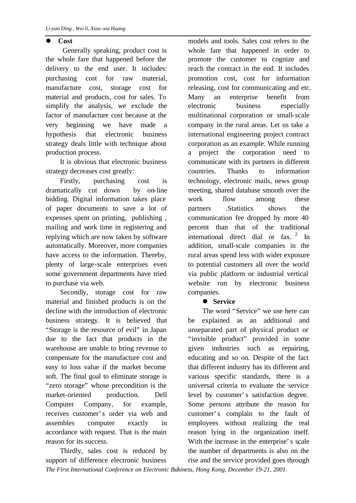## l **Cost**

 Generally speaking, product cost is the whole fare that happened before the delivery to the end user. It includes: purchasing cost for raw material, manufacture cost, storage cost for material and products, cost for sales. To simplify the analysis, we exclude the factor of manufacture cost because at the very beginning we have made a hypothesis that electronic business strategy deals little with technique about production process.

It is obvious that electronic business strategy decreases cost greatly:

Firstly, purchasing cost is dramatically cut down by on-line bidding. Digital information takes place of paper documents to save a lot of expenses spent on printing, publishing , mailing and work time in registering and replying which are now taken by software automatically. Moreover, more companies have access to the information. Thereby, plenty of large-scale enterprises even some government departments have tried to purchase via web.

Secondly, storage cost for raw material and finished products is on the decline with the introduction of electronic business strategy. It is believed that "Storage is the resource of evil" in Japan due to the fact that products in the warehouse are unable to bring revenue to compensate for the manufacture cost and easy to loss value if the market become soft. The final goal to eliminate storage is "zero storage" whose precondition is the market-oriented production. Dell Computer Company, for example, receives customer's order via web and assembles computer exactly in accordance with request. That is the main reason for its success.

Thirdly, sales cost is reduced by support of difference electronic business

models and tools. Sales cost refers to the whole fare that happened in order to promote the customer to cognize and reach the contract in the end. It includes promotion cost, cost for information releasing, cost for communicating and etc. Many an enterprise benefit from electronic business especially multinational corporation or small-scale company in the rural areas. Let us take a international engineering project contract corporation as an example. While running a project the corporation need to communicate with its partners in different countries. Thanks to information technology, electronic mails, news group meeting, shared database smooth over the work flow among these partners .Statistics shows the communication fee dropped by more 40 percent than that of the traditional international direct dial or fax.  $2 \text{ In}$ addition, small-scale companies in the rural areas spend less with wider exposure to potential customers all over the world via public platform or industrial vertical website run by electronic business companies.

## $\bullet$  Service

The word "Service" we use here can be explained as an additional and unseparated part of physical product or "invisible product" provided in some given industries such as repairing, educating and so on. Despite of the fact that different industry has its different and various specific standards, there is a universal criteria to evaluate the service level by customer's satisfaction degree. Some persons attribute the reason for customer's complain to the fault of employees without realizing the real reason lying in the organization itself. With the increase in the enterprise's scale the number of departments is also on the rise and the service provided goes through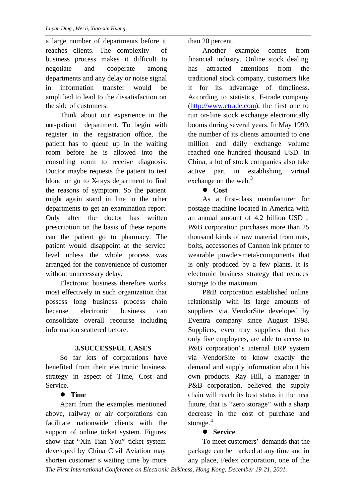a large number of departments before it reaches clients. The complexity of business process makes it difficult to negotiate and cooperate among departments and any delay or noise signal in information transfer would be amplified to lead to the dissatisfaction on the side of customers.

Think about our experience in the out-patient department. To begin with register in the registration office, the patient has to queue up in the waiting room before he is allowed into the consulting room to receive diagnosis. Doctor maybe requests the patient to test blood or go to X-rays department to find the reasons of symptom. So the patient might again stand in line in the other departments to get an examination report. Only after the doctor has written prescription on the basis of these reports can the patient go to pharmacy. The patient would disappoint at the service level unless the whole process was arranged for the convenience of customer without unnecessary delay.

Electronic business therefore works most effectively in such organization that possess long business process chain because electronic business can consolidate overall recourse including information scattered before.

## **3.SUCCESSFUL CASES**

So far lots of corporations have benefited from their electronic business strategy in aspect of Time, Cost and Service.

## $\bullet$  Time

*The First International Conference on Electronic Business, Hong Kong, December 19-21, 2001.* Apart from the examples mentioned above, railway or air corporations can facilitate nationwide clients with the support of online ticket system. Figures show that "Xin Tian You" ticket system developed by China Civil Aviation may shorten customer's waiting time by more

than 20 percent.

Another example comes from financial industry. Online stock dealing has attracted attentions from the traditional stock company, customers like it for its advantage of timeliness. According to statistics, E-trade company (http://www.etrade.com), the first one to run on-line stock exchange electronically booms during several years. In May 1999, the number of its clients amounted to one million and daily exchange volume reached one hundred thousand USD. In China, a lot of stock companies also take active part in establishing virtual exchange on the web. $3$ 

# l **Cost**

As a first-class manufacturer for postage machine located in America with an annual amount of 4.2 billion USD , P&B corporation purchases more than 25 thousand kinds of raw material from nuts, bolts, accessories of Cannon ink printer to wearable powder-metal-components that is only produced by a few plants. It is electronic business strategy that reduces storage to the maximum.

P&B corporation established online relationship with its large amounts of suppliers via VendorSite developed by Eventra company since August 1998. Suppliers, even tray suppliers that has only five employees, are able to access to P&B corporation's internal ERP system via VendorSite to know exactly the demand and supply information about his own products. Ray Hill, a manager in P&B corporation, believed the supply chain will reach its best status in the near future, that is "zero storage" with a sharp decrease in the cost of purchase and storage.<sup>4</sup>

## $\bullet$  Service

To meet customers' demands that the package can be tracked at any time and in any place, Fedex corporation, one of the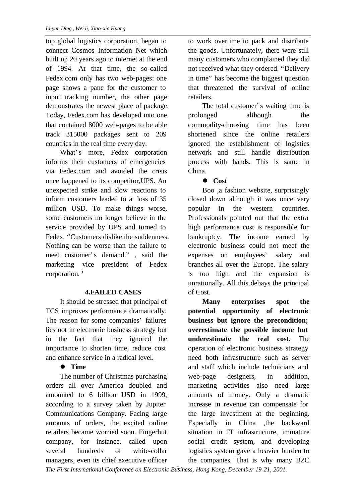top global logistics corporation, began to connect Cosmos Information Net which built up 20 years ago to internet at the end of 1994. At that time, the so-called Fedex.com only has two web-pages: one page shows a pane for the customer to input tracking number, the other page demonstrates the newest place of package. Today, Fedex.com has developed into one that contained 8000 web-pages to be able track 315000 packages sent to 209 countries in the real time every day.

What's more, Fedex corporation informs their customers of emergencies via Fedex.com and avoided the crisis once happened to its competitor,UPS. An unexpected strike and slow reactions to inform customers leaded to a loss of 35 million USD. To make things worse, some customers no longer believe in the service provided by UPS and turned to Fedex. "Customers dislike the suddenness. Nothing can be worse than the failure to meet customer's demand." , said the marketing vice president of Fedex corporation. <sup>5</sup>

## **4.FAILED CASES**

It should be stressed that principal of TCS improves performance dramatically. The reason for some companies' failures lies not in electronic business strategy but in the fact that they ignored the importance to shorten time, reduce cost and enhance service in a radical level.

# $\bullet$  Time

The number of Christmas purchasing orders all over America doubled and amounted to 6 billion USD in 1999, according to a survey taken by Jupiter Communications Company. Facing large amounts of orders, the excited online retailers became worried soon. Fingerhut company, for instance, called upon several hundreds of white-collar managers, even its chief executive officer to work overtime to pack and distribute the goods. Unfortunately, there were still many customers who complained they did not received what they ordered. "Delivery in time" has become the biggest question that threatened the survival of online retailers.

The total customer's waiting time is prolonged although the commodity-choosing time has been shortened since the online retailers ignored the establishment of logistics network and still handle distribution process with hands. This is same in China.

# l **Cost**

Boo ,a fashion website, surprisingly closed down although it was once very popular in the western countries. Professionals pointed out that the extra high performance cost is responsible for bankruptcy. The income earned by electronic business could not meet the expenses on employees' salary and branches all over the Europe. The salary is too high and the expansion is unrationally. All this debays the principal of Cost.

**Many enterprises spot the potential opportunity of electronic business but ignore the precondition; overestimate the possible income but underestimate the real cost.** The operation of electronic business strategy need both infrastructure such as server and staff which include technicians and web-page designers, in addition, marketing activities also need large amounts of money. Only a dramatic increase in revenue can compensate for the large investment at the beginning. Especially in China ,the backward situation in IT infrastructure, immature social credit system, and developing logistics system gave a heavier burden to the companies. That is why many B2C